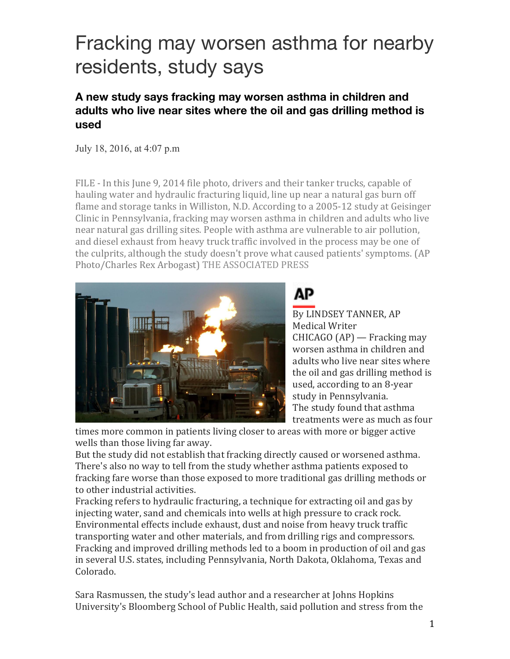## Fracking may worsen asthma for nearby residents, study says

## **A new study says fracking may worsen asthma in children and adults who live near sites where the oil and gas drilling method is used**

July 18, 2016, at 4:07 p.m

FILE - In this June 9, 2014 file photo, drivers and their tanker trucks, capable of hauling water and hydraulic fracturing liquid, line up near a natural gas burn off flame and storage tanks in Williston, N.D. According to a 2005-12 study at Geisinger Clinic in Pennsylvania, fracking may worsen asthma in children and adults who live near natural gas drilling sites. People with asthma are vulnerable to air pollution, and diesel exhaust from heavy truck traffic involved in the process may be one of the culprits, although the study doesn't prove what caused patients' symptoms. (AP Photo/Charles Rex Arbogast) THE ASSOCIATED PRESS



## ΔP

By LINDSEY TANNER, AP Medical Writer  $CHICAGO (AP)$  — Fracking may worsen asthma in children and adults who live near sites where the oil and gas drilling method is used, according to an 8-year study in Pennsylvania. The study found that asthma treatments were as much as four

times more common in patients living closer to areas with more or bigger active wells than those living far away.

But the study did not establish that fracking directly caused or worsened asthma. There's also no way to tell from the study whether asthma patients exposed to fracking fare worse than those exposed to more traditional gas drilling methods or to other industrial activities.

Fracking refers to hydraulic fracturing, a technique for extracting oil and gas by injecting water, sand and chemicals into wells at high pressure to crack rock. Environmental effects include exhaust, dust and noise from heavy truck traffic transporting water and other materials, and from drilling rigs and compressors. Fracking and improved drilling methods led to a boom in production of oil and gas in several U.S. states, including Pennsylvania, North Dakota, Oklahoma, Texas and Colorado.

Sara Rasmussen, the study's lead author and a researcher at Johns Hopkins University's Bloomberg School of Public Health, said pollution and stress from the